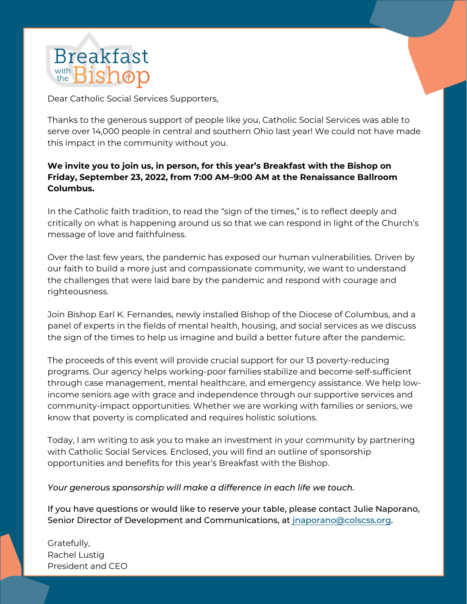

Dear Catholic Social Services Supporters,

Thanks to the generous support of people like you, Catholic Social Services was able to serve over 14,000 people in central and southern Ohio last year! We could not have made this impact in the community without you.

## **We invite you to join us, in person, for this year's Breakfast with the Bishop on Friday, September 23, 2022, from 7:00 AM–9:00 AM at the Renaissance Ballroom Columbus.**

In the Catholic faith tradition, to read the "sign of the times," is to reflect deeply and critically on what is happening around us so that we can respond in light of the Church's message of love and faithfulness.

Over the last few years, the pandemic has exposed our human vulnerabilities. Driven by our faith to build a more just and compassionate community, we want to understand the challenges that were laid bare by the pandemic and respond with courage and righteousness.

Join Bishop Earl K. Fernandes, newly installed Bishop of the Diocese of Columbus, and a panel of experts in the fields of mental health, housing, and social services as we discuss the sign of the times to help us imagine and build a better future after the pandemic.

The proceeds of this event will provide crucial support for our 13 poverty-reducing programs. Our agency helps working-poor families stabilize and become self-sufficient through case management, mental healthcare, and emergency assistance. We help lowincome seniors age with grace and independence through our supportive services and community-impact opportunities. Whether we are working with families or seniors, we know that poverty is complicated and requires holistic solutions.

Today, I am writing to ask you to make an investment in your community by partnering with Catholic Social Services. Enclosed, you will find an outline of sponsorship opportunities and benefits for this year's Breakfast with the Bishop.

*Your generous sponsorship will make a difference in each life we touch.*

If you have questions or would like to reserve your table, please contact Julie Naporano, Senior Director of Development and Communications, at jnaporano@colscss.org.

Gratefully, Rachel Lustig President and CEO